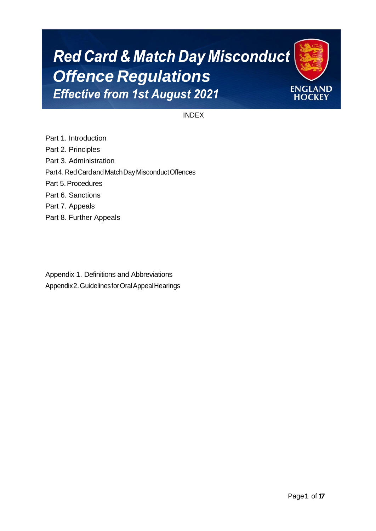# **Red Card & Match Day Misconduct** *Offence Regulations***Effective from 1st August 2021**



INDEX

Part 1. Introduction Part 2. Principles Part 3. Administration Part4. RedCardandMatchDayMisconductOffences Part 5.Procedures Part 6. Sanctions Part 7. Appeals Part 8. Further Appeals

Appendix 1. Definitions and Abbreviations Appendix2.GuidelinesforOralAppealHearings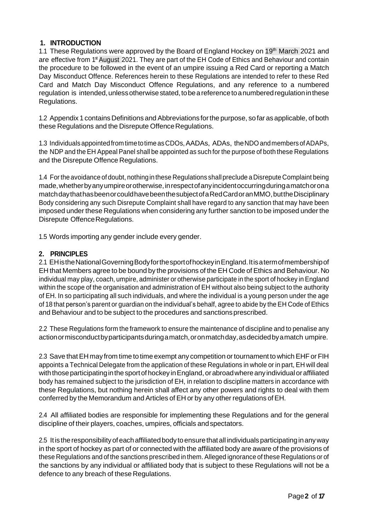# **1. INTRODUCTION**

1.1 These Regulations were approved by the Board of England Hockey on 19<sup>th</sup> March 2021 and are effective from 1<sup>st</sup> August 2021. They are part of the EH Code of Ethics and Behaviour and contain the procedure to be followed in the event of an umpire issuing a Red Card or reporting a Match Day Misconduct Offence. References herein to these Regulations are intended to refer to these Red Card and Match Day Misconduct Offence Regulations, and any reference to a numbered regulation is intended, unless otherwise stated, to be a reference to a numbered regulation in these Regulations.

1.2 Appendix 1 contains Definitions and Abbreviations for the purpose, so far as applicable, of both these Regulations and the Disrepute Offence Regulations.

1.3 Individuals appointedfromtimetotime asCDOs,AADAs, ADAs, theNDOandmembers ofADAPs, the NDP and the EH Appeal Panel shall be appointed as such for the purpose of both these Regulations and the Disrepute Offence Regulations.

1.4 Forthe avoidance of doubt, nothing inthese Regulations shall preclude a Disrepute Complaint being made,whetherbyanyumpireorotherwise,inrespectofanyincidentoccurringduringamatchorona matchdaythathasbeenorcouldhavebeenthesubjectofaRedCardoranMMO,buttheDisciplinary Body considering any such Disrepute Complaint shall have regard to any sanction that may have been imposed under these Regulations when considering any further sanction to be imposed under the Disrepute Offence Regulations.

1.5 Words importing any gender include every gender.

# **2. PRINCIPLES**

2.1 EHistheNationalGoverningBodyforthesportofhockeyinEngland.Itisatermofmembershipof EH that Members agree to be bound by the provisions of the EH Code of Ethics and Behaviour. No individual may play, coach, umpire, administer or otherwise participate in the sport of hockey in England within the scope of the organisation and administration of EH without also being subject to the authority of EH. In so participating all such individuals, and where the individual is a young person under the age of 18 that person's parent or guardian on the individual's behalf, agree to abide by the EH Code of Ethics and Behaviour and to be subject to the procedures and sanctions prescribed.

2.2 These Regulations form the framework to ensure the maintenance of discipline and to penalise any actionormisconductbyparticipantsduringamatch,oronmatchday,asdecidedbyamatch umpire.

2.3 Save that EH may from time to time exempt any competition or tournament to which EHF or FIH appoints a Technical Delegate from the application of these Regulations in whole or in part, EH will deal with those participating in the sport of hockey in England, or abroad where any individual or affiliated body has remained subject to the jurisdiction of EH, in relation to discipline matters in accordance with these Regulations, but nothing herein shall affect any other powers and rights to deal with them conferred by the Memorandum and Articles of EH or by any other regulations ofEH.

2.4 All affiliated bodies are responsible for implementing these Regulations and for the general discipline of their players, coaches, umpires, officials andspectators.

2.5 Itis theresponsibilityofeach affiliatedbodytoensurethatall individuals participating inanyway in the sport of hockey as part of or connected with the affiliated body are aware of the provisions of these Regulations and of the sanctions prescribed in them. Alleged ignorance of these Regulations or of the sanctions by any individual or affiliated body that is subject to these Regulations will not be a defence to any breach of these Regulations.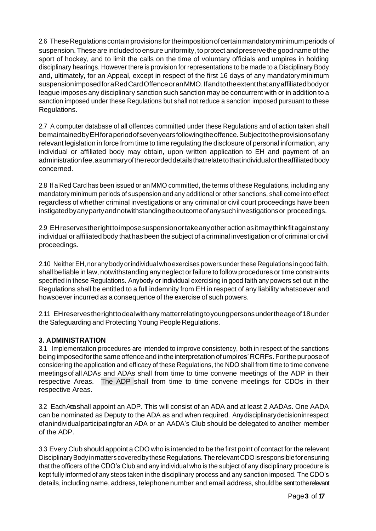2.6 These Regulations contain provisions for the imposition of certain mandatory minimum periods of suspension. These are included to ensure uniformity, to protect and preservethe good name of the sport of hockey, and to limit the calls on the time of voluntary officials and umpires in holding disciplinary hearings. However there is provision for representations to be made to a Disciplinary Body and, ultimately, for an Appeal, except in respect of the first 16 days of any mandatory minimum suspensionimposedforaRedCardOffenceoranMMO.Ifandtotheextentthatanyaffiliatedbodyor league imposes any disciplinary sanction such sanction may be concurrent with or in addition to a sanction imposed under these Regulations but shall not reduce a sanction imposed pursuant to these Regulations.

2.7 A computer database of all offences committed under these Regulations and of action taken shall bemaintainedbyEHforaperiodofsevenyearsfollowingtheoffence.Subjecttotheprovisionsofany relevant legislation in force from time to time regulating the disclosure of personal information, any individual or affiliated body may obtain, upon written application to EH and payment of an administrationfee,asummaryoftherecordeddetailsthatrelatetothatindividualortheaffiliatedbody concerned.

2.8 If a Red Card has been issued or an MMO committed, the terms of these Regulations, including any mandatory minimum periods of suspension and any additional or other sanctions, shall come into effect regardless of whether criminal investigations or any criminal or civil court proceedings have been instigatedbyanypartyandnotwithstandingtheoutcomeofanysuchinvestigationsor proceedings.

2.9 EHreservestherighttoimposesuspensionortakeanyotheractionasitmaythinkfitagainstany individual or affiliated body that has been the subject of a criminal investigation or of criminal or civil proceedings.

2.10 NeitherEH, nor any body orindividual who exercises powers underthese Regulations in good faith, shall be liable in law, notwithstanding any neglect or failure to follow procedures or time constraints specified in these Regulations. Anybody or individual exercising in good faith any powers set out in the Regulations shall be entitled to a full indemnity from EH in respect of any liability whatsoever and howsoever incurred as a consequence of the exercise of such powers.

2.11 EHreservestherighttodealwithanymatterrelatingtoyoungpersonsundertheageof18under the Safeguarding and Protecting Young People Regulations.

# **3. ADMINISTRATION**

3.1 Implementation procedures are intended to improve consistency, both in respect of the sanctions being imposed for the same offence and in the interpretation of umpires' RCRFs. For the purpose of considering the application and efficacy of these Regulations, the NDO shall from time to time convene meetings of all ADAs and ADAs shall from time to time convene meetings of the ADP in their respective Areas. The ADP shall from time to time convene meetings for CDOs in their respective Areas.

3.2 EachAreashall appoint an ADP. This will consist of an ADA and at least 2 AADAs. One AADA can be nominated as Deputy to the ADA as and when required. Anydisciplinarydecisioninrespect ofanindividualparticipatingforan ADA or an AADA's Club should be delegated to another member of the ADP.

3.3 Every Club should appoint a CDO who is intended to be the first point of contact for the relevant Disciplinary Body in matters covered by these Regulations. The relevant CDO is responsible for ensuring that the officers of the CDO's Club and any individual who is the subject of any disciplinary procedure is kept fully informed of any steps taken in the disciplinary process and any sanction imposed. The CDO's details, including name, address, telephone number and email address, should be sent to the relevant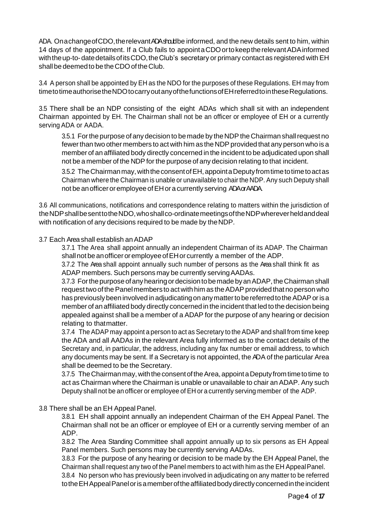ADA. Onachangeof CDO, the relevant ADA should be informed, and the new details sent to him, within 14 days of the appointment. If a Club fails to appointaCDOortokeeptherelevantADAinformed with the up-to-date details of its CDO, the Club's secretary or primary contact as registered with EH shall be deemed to be the CDO of the Club.

3.4 A person shall be appointed by EH as the NDO for the purposes of these Regulations. EH may from timetotimeauthorisetheNDOtocarryoutanyofthefunctionsofEHreferredtointheseRegulations.

3.5 There shall be an NDP consisting of the eight ADAs which shall sit with an independent Chairman appointed by EH. The Chairman shall not be an officer or employee of EH or a currently serving ADA or AADA.

3.5.1 For the purpose of any decision to be made by the NDP the Chairman shall request no fewer than two other members to act with him as the NDP provided that any person who is a member of an affiliated body directly concerned in the incident to be adjudicated upon shall not be a member of the NDP for the purpose of any decision relating to that incident.

3.5.2 The Chairman may, with the consent of EH, appoint a Deputy from time to time to act as Chairman where the Chairman is unable or unavailable to chair the NDP. Any such Deputy shall not be an officer or employee of EH or a currently serving ADA or AADA.

3.6 All communications, notifications and correspondence relating to matters within the jurisdiction of theNDPshallbesenttotheNDO,whoshallco-ordinatemeetingsoftheNDPwhereverheldanddeal with notification of any decisions required to be made by theNDP.

#### 3.7 Each Area shall establish an ADAP

3.7.1 The Area shall appoint annually an independent Chairman of its ADAP. The Chairman shall not be an officer or employee of EH or currently a member of the ADP.

3.7.2 The Area shall appoint annually such number of persons as the Area shall think fit as ADAP members. Such persons may be currently servingAADAs.

3.7.3 For the purpose of any hearing or decision to be made by an ADAP, the Chairman shall request two of the Panel members to act with him as the ADAP provided that no person who has previously been involved in adjudicating on any matter to be referred to the ADAP or is a member of an affiliated body directly concerned in the incident that led to the decision being appealed against shall be a member of a ADAP for the purpose of any hearing or decision relating to thatmatter.

3.7.4 The ADAP may appoint a person to act as Secretary to the ADAP and shall from time keep the ADA and all AADAs in the relevant Area fully informed as to the contact details of the Secretary and, in particular, the address, including any fax number or email address, to which any documents may be sent. If a Secretary is not appointed, the ADA of the particular Area shall be deemed to be the Secretary.

3.7.5 The Chairman may, with the consent of the Area, appoint a Deputy from time to time to act as Chairman where the Chairman is unable or unavailable to chair an ADAP. Any such Deputy shall not be an officer or employee of EH or a currently serving member of the ADP.

#### 3.8 There shall be an EH Appeal Panel.

3.8.1 EH shall appoint annually an independent Chairman of the EH Appeal Panel. The Chairman shall not be an officer or employee of EH or a currently serving member of an ADP.

3.8.2 The Area Standing Committee shall appoint annually up to six persons as EH Appeal Panel members. Such persons may be currently serving AADAs.

3.8.3 For the purpose of any hearing or decision to be made by the EH Appeal Panel, the Chairman shall request any two of the Panel members to act with him as the EH AppealPanel.

3.8.4 No person who has previously been involved in adjudicating on any matter to be referred to the EH Appeal Panel or is a member of the affiliated body directly concerned in the incident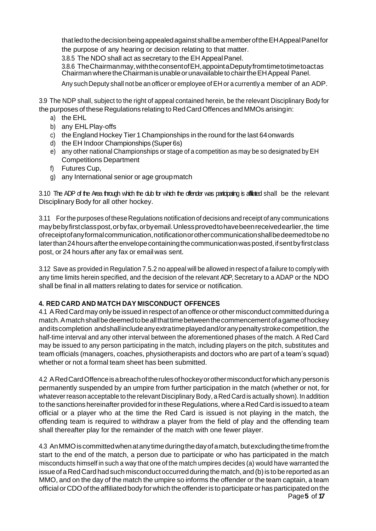thatledtothedecisionbeingappealedagainst shallbeamemberoftheEHAppealPanelfor the purpose of any hearing or decision relating to that matter.

3.8.5 The NDO shall act as secretary to the EH AppealPanel.

3.8.6 TheChairmanmay,withtheconsentofEH,appointaDeputyfromtimetotimetoactas ChairmanwheretheChairmanisunableorunavailabletochairtheEHAppeal Panel.

Any such Deputy shall not be an officer or employee of EH or a currently a member of an ADP.

3.9 The NDP shall, subject to the right of appeal contained herein, be the relevant Disciplinary Body for the purposes of these Regulations relating to Red CardOffences and MMOs arisingin:

- a) the EHL
- b) any EHLPlay-offs
- c) the England Hockey Tier 1 Championships in the round for the last 64onwards
- d) the EH Indoor Championships (Super6s)
- e) any other national Championships or stage of a competition as may be so designated by EH Competitions Department
- f) Futures Cup,
- g) any International senior or age groupmatch

3.10 The ADP of the Area through which the club for which the offender was participating is affiliated shall be the relevant Disciplinary Body for all other hockey.

3.11 Forthe purposes of these Regulations notification of decisions and receipt of any communications maybebyfirstclasspost,orbyfax,orbyemail.Unlessprovedtohavebeenreceivedearlier,the time ofreceiptofanyformalcommunication,notificationorothercommunicationshallbedeemedtobe no later than 24 hours after the envelope containing the communication was posted, if sent by first class post, or 24 hours after any fax or emailwas sent.

3.12 Save as provided in Regulation 7.5.2 no appeal will be allowed in respect of a failure to comply with any time limits herein specified, and the decision of the relevant ADP, Secretary to a ADAP or the NDO shall be final in all matters relating to dates for service or notification.

#### **4. RED CARD AND MATCH DAY MISCONDUCT OFFENCES**

4.1 A RedCard may only be issued in respectof an offence or othermisconduct committed during a match.Amatchshallbedeemedtobeallthattimebetweenthecommencementofagameofhockey anditscompletion andshallincludeanyextratimeplayedand/oranypenaltystrokecompetition,the half-time interval and any other interval between the aforementioned phases of the match. A Red Card may be issued to any person participating in the match, including players on the pitch, substitutes and team officials (managers, coaches, physiotherapists and doctors who are part of a team's squad) whether or not a formal team sheet has been submitted.

4.2 ARedCardOffenceisabreachoftherulesofhockeyorothermisconductforwhichanypersonis permanently suspended by an umpire from further participation in the match (whether or not, for whateverreason acceptable to the relevant Disciplinary Body, a Red Card is actually shown). In addition to the sanctions hereinafter provided for in these Regulations, where a Red Card is issued to a team official or a player who at the time the Red Card is issued is not playing in the match, the offending team is required to withdraw a player from the field of play and the offending team shall thereafter play for the remainder of the match with one fewer player.

4.3 AnMMOiscommittedwhenatanytimeduringthedayofamatch,butexcludingthetimefromthe start to the end of the match, a person due to participate or who has participated in the match misconducts himself in such a way that one of the match umpires decides (a) would have warranted the issue of a Red Card had such misconduct occurred during the match, and (b) is to be reported as an MMO, and on the day of the match the umpire so informs the offender or the team captain, a team official or CDOof the affiliated body forwhich theoffenderis to participate or has participated on the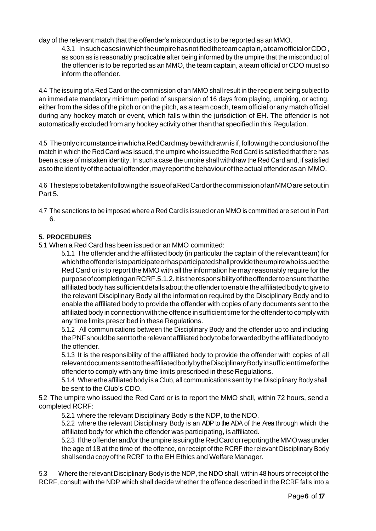day of the relevant match that the offender's misconduct is to be reported as anMMO.

4.3.1 Insuchcasesinwhichtheumpirehasnotifiedtheteamcaptain,ateamofficialorCDO, as soon as is reasonably practicable after being informed by the umpire that the misconduct of the offender is to be reported as an MMO, the team captain, a team official or CDO must so inform theoffender.

4.4 The issuing of a Red Card or the commission of an MMO shall result in the recipient being subject to an immediate mandatory minimum period of suspension of 16 days from playing, umpiring, or acting, either from the sides of the pitch or on the pitch, as a team coach, team official or any match official during any hockey match or event, which falls within the jurisdiction of EH. The offender is not automatically excluded from any hockey activity other than that specified in this Regulation.

4.5 TheonlycircumstanceinwhichaRedCardmaybewithdrawnisif,followingtheconclusionofthe match in which the Red Card was issued, the umpire who issued the Red Card is satisfied that there has been a case of mistaken identity. In such a case the umpire shall withdraw the Red Card and, if satisfied as to the identity of the actual offender, may report the behaviour of the actual offender as an MMO.

4.6 ThestepstobetakenfollowingtheissueofaRedCardorthecommissionofanMMOaresetoutin Part 5.

4.7 The sanctions to be imposed where a Red Card is issued or an MMO is committed are set out in Part 6.

## **5. PROCEDURES**

5.1 When a Red Card has been issued or an MMO committed:

5.1.1 The offender and the affiliated body (in particular the captain of the relevant team) for whichtheoffenderistoparticipateorhasparticipatedshallprovidetheumpirewhoissuedthe Red Card or is to report the MMO with all the information he may reasonably require for the purposeofcompletinganRCRF.5.1.2.Itistheresponsibilityoftheoffendertoensurethatthe affiliated body has sufficient details about theoffendertoenable theaffiliated body to giveto the relevant Disciplinary Body all the information required by the Disciplinary Body and to enable the affiliated body to provide the offender with copies of any documents sent to the affiliated body in connection with the offence in sufficient time for the offender to comply with any time limits prescribed in these Regulations.

5.1.2 All communications between the Disciplinary Body and the offender up to and including thePNFshouldbesenttotherelevantaffiliatedbodytobeforwardedbytheaffiliatedbodyto the offender.

5.1.3 It is the responsibility of the affiliated body to provide the offender with copies of all relevantdocumentssenttotheaffiliatedbodybytheDisciplinaryBodyinsufficienttimeforthe offender to comply with any time limits prescribed in these Regulations.

5.1.4 Where the affiliated body is a Club, all communications sent by the Disciplinary Body shall be sent to the Club's CDO.

5.2 The umpire who issued the Red Card or is to report the MMO shall, within 72 hours, send a completed RCRF:

5.2.1 where the relevant Disciplinary Body is the NDP, to the NDO.

5.2.2 where the relevant Disciplinary Body is an ADP to the ADA of the Area through which the affiliated body for which the offender was participating, is affiliated.

5.2.3 Iftheoffenderand/or theumpireissuingtheRedCardorreportingtheMMOwasunder the age of 18 at the time of the offence, on receipt of the RCRF the relevant Disciplinary Body shall send acopy ofthe RCRF to the EH Ethics and Welfare Manager.

5.3 Where the relevant Disciplinary Body is the NDP, the NDO shall, within 48 hours of receipt of the RCRF, consult with the NDP which shall decide whether the offence described in the RCRF falls into a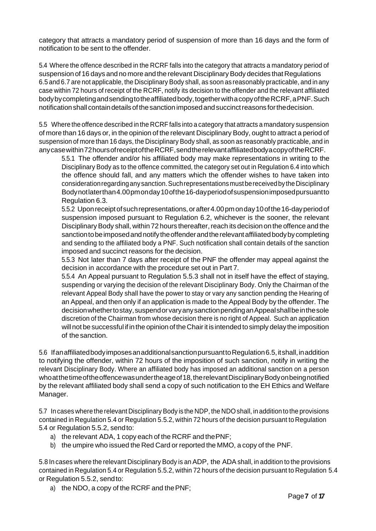category that attracts a mandatory period of suspension of more than 16 days and the form of notification to be sent to the offender.

5.4 Where the offence described in the RCRF falls into the category that attracts a mandatory period of suspension of 16 days and no more and the relevant Disciplinary Body decides that Regulations 6.5 and 6.7 are not applicable, the Disciplinary Body shall, as soon as reasonably practicable, and in any case within 72 hours of receipt of the RCRF, notify its decision to the offender and the relevant affiliated bodybycompletingandsendingtotheaffiliatedbody,togetherwithacopyoftheRCRF,aPNF.Such notification shall contain details of the sanction imposed and succinct reasons for the decision.

5.5 Where the offence described in the RCRF falls into a category that attracts a mandatory suspension of more than 16 days or, in the opinion of the relevant Disciplinary Body, ought to attract a period of suspension of more than 16 days, the Disciplinary Body shall, as soon as reasonably practicable, and in anycasewithin72hoursofreceiptoftheRCRF,sendtherelevantaffiliatedbodyacopyoftheRCRF.

5.5.1 The offender and/or his affiliated body may make representations in writing to the Disciplinary Body as to the offence committed, the category set out in Regulation 6.4 into which the offence should fall, and any matters which the offender wishes to have taken into considerationregardinganysanction.SuchrepresentationsmustbereceivedbytheDisciplinary Bodynotlaterthan4.00pmonday10ofthe16-dayperiodofsuspensionimposedpursuantto Regulation 6.3.

5.5.2 Uponreceiptofsuchrepresentations,orafter4.00pmonday10ofthe16-dayperiodof suspension imposed pursuant to Regulation 6.2, whichever is the sooner, the relevant Disciplinary Body shall, within 72 hours thereafter, reach its decision on the offence and the sanctiontobeimposedandnotifytheoffenderandtherelevantaffiliatedbodybycompleting and sending to the affiliated body a PNF. Such notification shall contain details of the sanction imposed and succinct reasons for the decision.

5.5.3 Not later than 7 days after receipt of the PNF the offender may appeal against the decision in accordance with the procedure set out in Part 7.

5.5.4 An Appeal pursuant to Regulation 5.5.3 shall not in itself have the effect of staying, suspending or varying the decision of the relevant Disciplinary Body. Only the Chairman of the relevant Appeal Body shall have the power to stay or vary any sanction pending the Hearing of an Appeal, and then only if an application is made to the Appeal Body by the offender. The decision whetherto stay, suspend or vary any sanction pending an Appeal shall be in the sole discretion of the Chairman from whose decision there is no right of Appeal. Such an application will not be successful if in the opinion of the Chair it is intended to simply delay the imposition of the sanction.

5.6 IfanaffiliatedbodyimposesanadditionalsanctionpursuanttoRegulation6.5,itshall,inaddition to notifying the offender, within 72 hours of the imposition of such sanction, notify in writing the relevant Disciplinary Body. Where an affiliated body has imposed an additional sanction on a person whoat the time of the offence was under the age of 18, the relevant Disciplinary Body on being notified by the relevant affiliated body shall send a copy of such notification to the EH Ethics and Welfare Manager.

5.7 Incases where the relevant DisciplinaryBody is the NDP, the NDOshall, in addition to the provisions contained in Regulation 5.4 or Regulation 5.5.2, within 72 hours of the decision pursuant to Regulation 5.4 or Regulation 5.5.2, sendto:

- a) the relevant ADA, 1 copy each of the RCRF and thePNF;
- b) the umpire who issued the Red Card or reported the MMO, a copy of the PNF.

5.8 In cases where the relevant Disciplinary Body is anADP, the ADAshall, in addition to the provisions contained in Regulation 5.4 or Regulation 5.5.2, within 72 hours of the decision pursuant to Regulation 5.4 or Regulation 5.5.2, sendto:

a) the NDO, a copy of the RCRF and thePNF;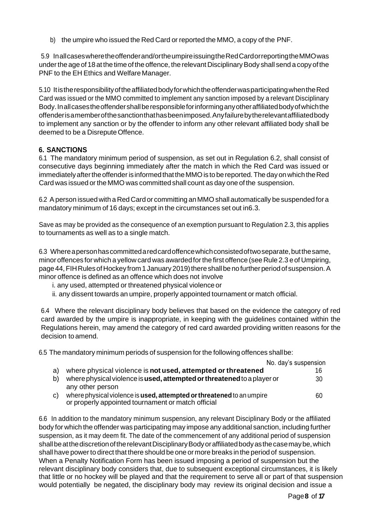b) the umpire who issued the Red Card or reported the MMO, a copy of the PNF.

5.9 Inallcaseswheretheoffenderand/ortheumpireissuingtheRedCardorreportingtheMMOwas under the age of 18 at the time of the offence, the relevant Disciplinary Body shall send a copy of the PNF to the EH Ethics and Welfare Manager.

5.10 ItistheresponsibilityoftheaffiliatedbodyforwhichtheoffenderwasparticipatingwhentheRed Card was issued or the MMO committed to implement any sanction imposed by a relevant Disciplinary Body.Inallcasestheoffendershallberesponsibleforinforminganyotheraffiliatedbodyofwhichthe offenderisamemberofthesanctionthathasbeenimposed.Anyfailurebytherelevantaffiliatedbody to implement any sanction or by the offender to inform any other relevant affiliated body shall be deemed to be a Disrepute Offence.

## **6. SANCTIONS**

6.1 The mandatory minimum period of suspension, as set out in Regulation 6.2, shall consist of consecutive days beginning immediately after the match in which the Red Card was issued or immediately after the offender is informed that the MMO is to be reported. The day on which the Red Card was issued or the MMO was committed shall count as day one of the suspension.

6.2 Aperson issued with a Red Card or committing anMMO shall automatically be suspendedfor a mandatory minimum of 16 days; except in the circumstances set out in6.3.

Save as may be provided as the consequence of an exemption pursuant to Regulation 2.3, this applies to tournaments as well as to a single match.

6.3 Where a person has committed a red card offence which consisted of two separate, but the same, minor offences forwhich a yellow card was awardedforthe first offence (see Rule 2.3 e of Umpiring, page 44, FIH Rules of Hockey from 1 January 2019) there shall be no further period of suspension. A minor offence is defined as an offence which does not involve

- i. any used, attempted or threatened physical violence or
- ii. any dissent towards an umpire, properly appointed tournament or match official.

6.4 Where the relevant disciplinary body believes that based on the evidence the category of red card awarded by the umpire is inappropriate, in keeping with the guidelines contained within the Regulations herein, may amend the category of red card awarded providing written reasons for the decision to amend.

6.5 The mandatory minimum periods of suspension forthe following offences shallbe:

|                 |                                                                                                                                    | No. day's suspension |
|-----------------|------------------------------------------------------------------------------------------------------------------------------------|----------------------|
| a)              | where physical violence is not used, attempted or threatened                                                                       | 16                   |
| b)              | where physical violence is <b>used, attempted or threatened</b> to a player or<br>any other person                                 | 30                   |
| $\mathcal{C}$ ) | where physical violence is <b>used, attempted or threatened</b> to an umpire<br>or properly appointed tournament or match official | 60                   |

6.6 In addition to the mandatory minimum suspension, any relevant Disciplinary Body or the affiliated body for which the offender was participating may impose any additional sanction, including further suspension, as it may deem fit. The date of the commencement of any additional period of suspension shall be at the discretion of the relevant Disciplinary Body or affiliated body as the case may be, which shall have powerto direct that there should be one or more breaks in the period of suspension. When a Penalty Notification Form has been issued imposing a period of suspension but the relevant disciplinary body considers that, due to subsequent exceptional circumstances, it is likely that little or no hockey will be played and that the requirement to serve all or part of that suspension would potentially be negated, the disciplinary body may review its original decision and issue a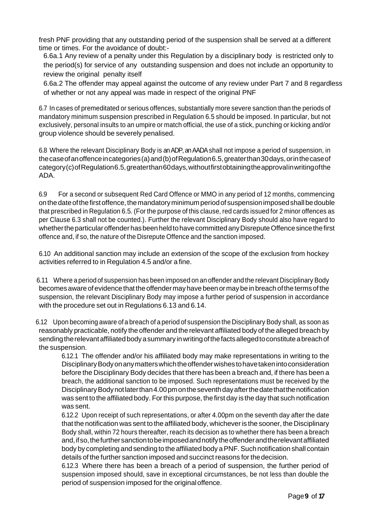fresh PNF providing that any outstanding period of the suspension shall be served at a different time or times. For the avoidance of doubt:-

6.6a.1 Any review of a penalty under this Regulation by a disciplinary body is restricted only to the period(s) for service of any outstanding suspension and does not include an opportunity to review the original penalty itself

6.6a.2 The offender may appeal against the outcome of any review under Part 7 and 8 regardless of whether or not any appeal was made in respect of the original PNF

6.7 In cases of premeditated or serious offences, substantially more severe sanction than the periods of mandatory minimum suspension prescribed in Regulation 6.5 should be imposed. In particular, but not exclusively, personal insults to an umpire or match official, the use of a stick, punching or kicking and/or group violence should be severely penalised.

6.8 Where the relevant Disciplinary Body is an ADP, an AADA shall not impose a period of suspension, in thecaseofanoffenceincategories(a)and(b)ofRegulation6.5,greaterthan30days,orinthecaseof category(c)ofRegulation6.5,greaterthan60days,withoutfirstobtainingtheapprovalinwritingofthe ADA.

6.9 For a second or subsequent Red Card Offence or MMO in any period of 12 months, commencing on the date of the first offence, the mandatory minimum period of suspension imposed shall be double that prescribed in Regulation 6.5. (For the purpose of this clause, red cards issued for 2 minor offences as per Clause 6.3 shall not be counted.). Further the relevant Disciplinary Body should also have regard to whether the particular offender has been held to have committed any Disrepute Offence since the first offence and, if so, the nature of the Disrepute Offence and the sanction imposed.

6.10 An additional sanction may include an extension of the scope of the exclusion from hockey activities referred to in Regulation 4.5 and/or a fine.

6.11 Where a period of suspension has been imposed on an offender and the relevant Disciplinary Body becomes aware of evidence that the offender may have been or may be in breach of the terms of the suspension, the relevant Disciplinary Body may impose a further period of suspension in accordance with the procedure set out in Regulations 6.13 and 6.14.

6.12 Upon becoming aware of a breach of a period of suspension the Disciplinary Body shall, as soon as reasonably practicable, notify the offender and the relevant affiliated body of the alleged breach by sending the relevant affiliated body a summary in writing of the facts alleged to constitute a breach of the suspension.

6.12.1 The offender and/or his affiliated body may make representations in writing to the DisciplinaryBodyonanymatterswhichtheoffenderwishestohavetakenintoconsideration before the Disciplinary Body decides that there has been a breach and, if there has been a breach, the additional sanction to be imposed. Such representations must be received by the Disciplinary Body not later than 4.00 pm on the seventh day after the date that the notification was sent to the affiliated body. Forthis purpose, thefirst day is the day that such notification was sent.

6.12.2 Upon receipt of such representations, or after 4.00pm on the seventh day after the date that the notification was sent to the affiliated body, whichever is the sooner, the Disciplinary Body shall, within 72 hours thereafter, reach its decision as to whether there has been a breach and,ifso,thefurthersanctiontobeimposedandnotifytheoffenderandtherelevantaffiliated body by completing and sending to the affiliated body a PNF. Such notification shall contain details of the further sanction imposed and succinct reasons for thedecision.

6.12.3 Where there has been a breach of a period of suspension, the further period of suspension imposed should, save in exceptional circumstances, be not less than double the period of suspension imposed for the originaloffence.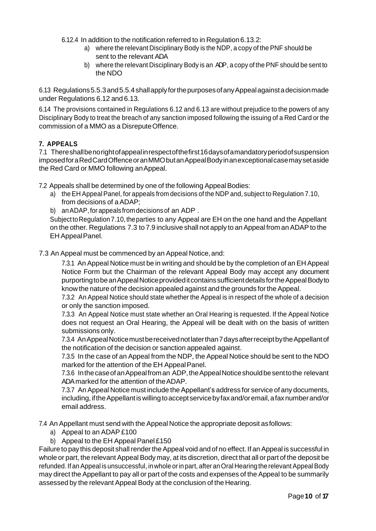- 6.12.4 In addition to the notification referred to in Regulation6.13.2:
	- a) where the relevant Disciplinary Body is the NDP, a copy of the PNF should be sent to the relevant ADA
	- b) where the relevant Disciplinary Body is an ADP , a copy of the PNF should be sent to the NDO

6.13 Regulations5.5.3and5.5.4shallapplyforthepurposesofanyAppealagainstadecisionmade under Regulations 6.12 and 6.13.

6.14 The provisions contained in Regulations 6.12 and 6.13 are without prejudice to the powers of any Disciplinary Body to treat the breach of any sanction imposed following the issuing of a Red Card or the commission of a MMO as a DisreputeOffence.

# **7. APPEALS**

7.1 Thereshallbenorightofappealinrespectofthefirst16daysofamandatoryperiodofsuspension imposedforaRedCardOffenceoranMMObutanAppealBodyinanexceptionalcasemaysetaside the Red Card or MMO following anAppeal.

7.2 Appeals shall be determined by one of the following Appeal Bodies:

- a) theEH Appeal Panel, for appeals from decisions of the NDP and, subject to Regulation 7.10, from decisions of aADAP;
- b) anADAP,forappealsfromdecisions of an ADP .

Subject to Regulation 7.10, the parties to any Appeal are EH on the one hand and the Appellant on the other. Regulations 7.3 to 7.9 inclusive shall not apply to an Appeal from an ADAP to the EH AppealPanel.

7.3 An Appeal must be commenced by an Appeal Notice, and:

7.3.1 An Appeal Notice must be in writing and should be by the completion of an EH Appeal Notice Form but the Chairman of the relevant Appeal Body may accept any document purportingtobeanAppealNoticeprovideditcontainssufficientdetailsfortheAppealBodyto know the nature of the decision appealed against and the grounds for the Appeal.

7.3.2 An Appeal Notice should state whether the Appeal is in respect of the whole of a decision or only the sanction imposed.

7.3.3 An Appeal Notice must state whether an Oral Hearing is requested. If the Appeal Notice does not request an Oral Hearing, the Appeal will be dealt with on the basis of written submissions only.

7.3.4 AnAppealNoticemustbereceivednotlaterthan7daysafterreceiptbytheAppellantof the notification of the decision or sanction appealed against.

7.3.5 In the case of an Appeal from the NDP, the Appeal Notice should be sent to the NDO marked for the attention of the EH Appeal Panel.

7.3.6 InthecaseofanAppealfroman ADP,theAppealNoticeshouldbesenttothe relevant ADA marked for the attention of theADAP.

7.3.7 An Appeal Notice must include the Appellant's address for service of any documents, including, if the Appellant is willing to accept service by fax and/or email, a fax number and/or email address.

7.4 An Appellant must send with the Appeal Notice the appropriate deposit asfollows:

- a) Appeal to an ADAP £100
- b) Appeal to the EH Appeal Panel £150

Failure to pay this deposit shall render the Appeal void and of no effect. If an Appeal is successful in whole or part, the relevant Appeal Body may, at its discretion, direct that all or part of the deposit be refunded. If an Appeal is unsuccessful, in whole or in part, after an Oral Hearing the relevant Appeal Body may direct the Appellant to pay all or part of the costs and expenses of the Appeal to be summarily assessed by the relevant Appeal Body at the conclusion of the Hearing.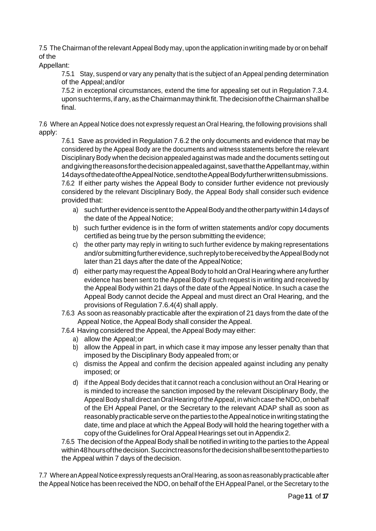7.5 The Chairman of the relevant Appeal Body may, upon the application in writing made by or on behalf of the

Appellant:

7.5.1 Stay, suspend or vary any penalty that is the subject of an Appeal pending determination of the Appeal;and/or

7.5.2 in exceptional circumstances, extend the time for appealing set out in Regulation 7.3.4. uponsuchterms,ifany,astheChairmanmaythink fit.ThedecisionoftheChairmanshallbe final.

7.6 Where an Appeal Notice does not expressly request an Oral Hearing, the following provisions shall apply:

7.6.1 Save as provided in Regulation 7.6.2 the only documents and evidence that may be considered by the Appeal Body are the documents and witness statements before the relevant Disciplinary Body when the decision appealed against was made and the documents setting out and giving the reasons for the decision appealed against, save that the Appellant may, within 14daysofthedateoftheAppealNotice,sendtotheAppealBodyfurtherwrittensubmissions. 7.6.2 If either party wishes the Appeal Body to consider further evidence not previously considered by the relevant Disciplinary Body, the Appeal Body shall consider such evidence provided that:

- a) such further evidence is sent to the Appeal Body and the other party within 14 days of the date of the Appeal Notice;
- b) such further evidence is in the form of written statements and/or copy documents certified as being true by the person submitting the evidence;
- c) the other party may reply in writing to such further evidence by making representations and/or submitting further evidence, such reply to be received by the Appeal Body not later than 21 days after the date of the AppealNotice;
- d) either party may request the Appeal Body to hold an Oral Hearing where any further evidence has been sent to the Appeal Body if such request is in writing and received by the Appeal Body within 21 days of the date of the Appeal Notice. In such a case the Appeal Body cannot decide the Appeal and must direct an Oral Hearing, and the provisions of Regulation 7.6.4(4) shall apply.
- 7.6.3 As soon as reasonably practicable after the expiration of 21 days from the date of the Appeal Notice, the Appeal Body shall consider the Appeal.
- 7.6.4 Having considered the Appeal, the Appeal Body may either:
	- a) allow the Appeal;or
		- b) allow the Appeal in part, in which case it may impose any lesser penalty than that imposed by the Disciplinary Body appealed from; or
		- c) dismiss the Appeal and confirm the decision appealed against including any penalty imposed; or
	- d) if the Appeal Body decides that it cannot reach a conclusion without an Oral Hearing or is minded to increase the sanction imposed by the relevant Disciplinary Body, the Appeal Body shall direct an Oral Hearing of the Appeal, in which case the NDO, on behalf of the EH Appeal Panel, or the Secretary to the relevant ADAP shall as soon as reasonably practicable serve on the parties to the Appeal notice in writing stating the date, time and place at which the Appeal Body will hold the hearing together with a copy of the Guidelines for Oral Appeal Hearings set out in Appendix 2.

7.6.5 The decision of the Appeal Body shall be notified in writing to the parties to the Appeal within48hours of the decision. Succinct reasons for the decision shall be sent to the parties to the Appeal within 7 days of thedecision.

7.7 Where an Appeal Notice expressly requests an Oral Hearing, as soon as reasonably practicable after the Appeal Notice has been received the NDO, on behalf of the EH Appeal Panel, or the Secretary to the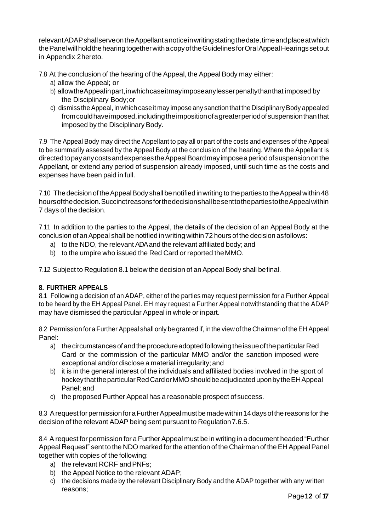relevantADAPshallserveontheAppellantanoticeinwritingstatingthedate,timeandplaceatwhich the Panel will hold the hearing together with a copy of the Guidelines for Oral Appeal Hearings setout in Appendix 2hereto.

7.8 At the conclusion of the hearing of the Appeal, the Appeal Body may either:

- a) allow the Appeal; or
- b) allowtheAppealinpart,inwhichcaseitmayimposeanylesserpenaltythanthat imposed by the Disciplinary Body;or
- c) dismiss the Appeal, in which case it may impose any sanction that the Disciplinary Body appealed fromcouldhaveimposed,includingtheimpositionofagreaterperiodofsuspensionthanthat imposed by the Disciplinary Body.

7.9 The Appeal Body may direct the Appellant to pay all or part of the costs and expenses of the Appeal to be summarily assessed by the Appeal Body at the conclusion of the hearing. Where the Appellant is directedtopayanycostsandexpensestheAppealBoardmayimposeaperiodofsuspensiononthe Appellant, or extend any period of suspension already imposed, until such time as the costs and expenses have been paid in full.

7.10 The decision of the Appeal Body shall be notified in writing to the parties to the Appeal within 48 hoursofthedecision.SuccinctreasonsforthedecisionshallbesenttothepartiestotheAppealwithin 7 days of the decision.

7.11 In addition to the parties to the Appeal, the details of the decision of an Appeal Body at the conclusion of an Appeal shall be notified in writing within 72 hours of the decision asfollows:

- a) to the NDO, the relevant ADA and the relevant affiliated body; and
- b) to the umpire who issued the Red Card or reported theMMO.

7.12 Subject to Regulation 8.1 below the decision of an Appeal Body shall befinal.

#### **8. FURTHER APPEALS**

8.1 Following a decision of an ADAP, either of the parties may request permission for a Further Appeal to be heard by the EH Appeal Panel. EH may request a Further Appeal notwithstanding that the ADAP may have dismissed the particular Appeal in whole or inpart.

8.2 Permission for a Further Appeal shall only be granted if, inthe view of the Chairman of theEH Appeal Panel:

- a) thecircumstancesofandtheprocedureadoptedfollowingtheissueoftheparticularRed Card or the commission of the particular MMO and/or the sanction imposed were exceptional and/or disclose a material irregularity; and
- b) it is in the general interest of the individuals and affiliated bodies involved in the sport of hockey that the particular Red Card or MMO should be adjudicated upon by the EH Appeal Panel; and
- c) the proposed Further Appeal has a reasonable prospect of success.

8.3 A request for permission for a Further Appeal must be made within 14 days of the reasons for the decision of the relevant ADAP being sent pursuant to Regulation 7.6.5.

8.4 A request for permission for a Further Appeal must be in writing in a document headed "Further Appeal Request" sent to the NDO marked for the attention of the Chairman of the EH Appeal Panel together with copies of the following:

- a) the relevant RCRF andPNFs;
- b) the Appeal Notice to the relevant ADAP;
- c) the decisions made by the relevant Disciplinary Body and the ADAP together with any written reasons;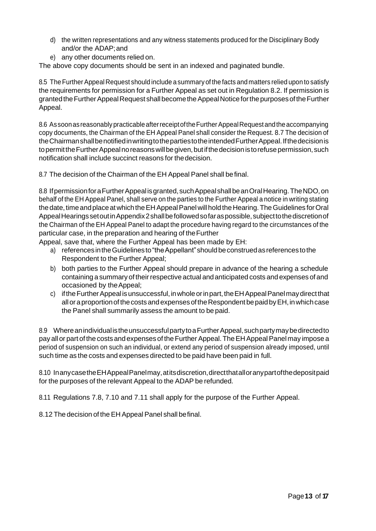- d) the written representations and any witness statements produced for the Disciplinary Body and/or the ADAP;and
- e) any other documents relied on.

The above copy documents should be sent in an indexed and paginated bundle.

8.5 The Further Appeal Request should include a summary of the facts and matters relied upon to satisfy the requirements for permission for a Further Appeal as set out in Regulation 8.2. If permission is granted the Further Appeal Request shall become the Appeal Notice for the purposes of the Further Appeal.

8.6 As soon as reasonably practicable after receipt of the Further Appeal Request and the accompanying copy documents, the Chairman of the EH Appeal Panel shall consider the Request. 8.7 The decision of the Chairman shall be notified in writing to the parties to the intended Further Appeal. If the decision is to permit the Further Appeal no reasons will be given, but if the decision is to refuse permission, such notification shall include succinct reasons for thedecision.

8.7 The decision of the Chairman of the EH Appeal Panel shall befinal.

8.8 IfpermissionforaFurtherAppeal isgranted,suchAppealshallbeanOralHearing.TheNDO,on behalf of the EH Appeal Panel, shall serve on the parties to the Further Appeal a notice in writing stating the date, time and place at which the EH Appeal Panel will hold the Hearing. The Guidelines for Oral Appeal Hearings set out in Appendix 2 shall be followed so far as possible, subject to the discretion of the Chairman of the EH Appeal Panel to adapt the procedure having regard to the circumstances of the particular case, in the preparation and hearing of theFurther

Appeal, save that, where the Further Appeal has been made by EH:

- a) references in the Guidelines to "the Appellant" should be construed as references to the Respondent to the Further Appeal;
- b) both parties to the Further Appeal should prepare in advance of the hearing a schedule containing a summary of theirrespective actual andanticipated costs and expenses of and occasioned by theAppeal;
- c) if the Further Appeal is unsuccessful, in whole or in part, the EH Appeal Panel may direct that all or a proportion of the costs and expenses of the Respondent be paid by EH, in which case the Panel shall summarily assess the amount to be paid.

8.9 Where an individual is the unsuccessful party to a Further Appeal, such party may be directed to pay all or part of the costs and expenses of the Further Appeal. The EH Appeal Panel may impose a period of suspension on such an individual, or extend any period of suspension already imposed, until such time as the costs and expenses directed to be paid have been paid in full.

8.10 InanycasetheEHAppealPanelmay,atitsdiscretion,directthatalloranypartofthedepositpaid for the purposes of the relevant Appeal to the ADAP be refunded.

8.11 Regulations 7.8, 7.10 and 7.11 shall apply for the purpose of the Further Appeal.

8.12 The decision of the EH Appeal Panel shall befinal.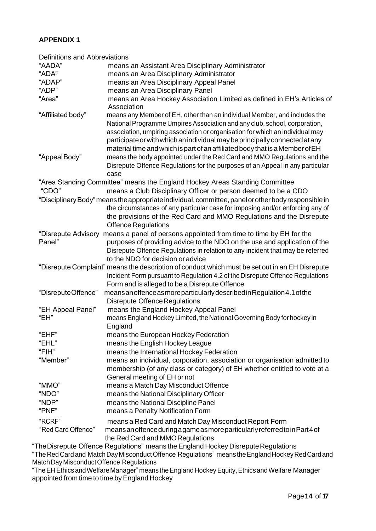# **APPENDIX 1**

|                                                                             | Definitions and Abbreviations |                                                                                                                                                                                                                                                                                                                                                                                                        |
|-----------------------------------------------------------------------------|-------------------------------|--------------------------------------------------------------------------------------------------------------------------------------------------------------------------------------------------------------------------------------------------------------------------------------------------------------------------------------------------------------------------------------------------------|
|                                                                             | "AADA"                        | means an Assistant Area Disciplinary Administrator                                                                                                                                                                                                                                                                                                                                                     |
|                                                                             | "ADA"                         | means an Area Disciplinary Administrator                                                                                                                                                                                                                                                                                                                                                               |
|                                                                             | "ADAP"                        | means an Area Disciplinary Appeal Panel                                                                                                                                                                                                                                                                                                                                                                |
|                                                                             | "ADP"                         | means an Area Disciplinary Panel                                                                                                                                                                                                                                                                                                                                                                       |
|                                                                             | "Area"                        | means an Area Hockey Association Limited as defined in EH's Articles of<br>Association                                                                                                                                                                                                                                                                                                                 |
|                                                                             | "Affiliated body"             | means any Member of EH, other than an individual Member, and includes the<br>National Programme Umpires Association and any club, school, corporation,<br>association, umpiring association or organisation for which an individual may<br>participate or with which an individual may be principally connected at any<br>material time and which is part of an affiliated body that is a Member of EH |
|                                                                             | "Appeal Body"                 | means the body appointed under the Red Card and MMO Regulations and the<br>Disrepute Offence Regulations for the purposes of an Appeal in any particular<br>case                                                                                                                                                                                                                                       |
| "Area Standing Committee" means the England Hockey Areas Standing Committee |                               |                                                                                                                                                                                                                                                                                                                                                                                                        |
| "CDO"                                                                       |                               | means a Club Disciplinary Officer or person deemed to be a CDO                                                                                                                                                                                                                                                                                                                                         |
|                                                                             |                               | "Disciplinary Body" means the appropriate individual, committee, panel or other body responsible in<br>the circumstances of any particular case for imposing and/or enforcing any of<br>the provisions of the Red Card and MMO Regulations and the Disrepute<br><b>Offence Regulations</b>                                                                                                             |
|                                                                             |                               | "Disrepute Advisory means a panel of persons appointed from time to time by EH for the                                                                                                                                                                                                                                                                                                                 |
|                                                                             | Panel"                        | purposes of providing advice to the NDO on the use and application of the<br>Disrepute Offence Regulations in relation to any incident that may be referred<br>to the NDO for decision or advice                                                                                                                                                                                                       |
|                                                                             |                               | "Disrepute Complaint" means the description of conduct which must be set out in an EH Disrepute<br>Incident Form pursuant to Regulation 4.2 of the Disrepute Offence Regulations<br>Form and is alleged to be a Disrepute Offence                                                                                                                                                                      |
|                                                                             | "DisreputeOffence"            | meansan offence as more particularly described in Regulation 4.1 of the<br><b>Disrepute Offence Regulations</b>                                                                                                                                                                                                                                                                                        |
|                                                                             | "EH Appeal Panel"<br>"EH"     | means the England Hockey Appeal Panel<br>means England Hockey Limited, the National Governing Body for hockey in<br>England                                                                                                                                                                                                                                                                            |
|                                                                             | "EHF"                         | means the European Hockey Federation                                                                                                                                                                                                                                                                                                                                                                   |
|                                                                             | "EHL"                         | means the English Hockey League                                                                                                                                                                                                                                                                                                                                                                        |
|                                                                             | "FH"                          | means the International Hockey Federation                                                                                                                                                                                                                                                                                                                                                              |
|                                                                             | "Member"                      | means an individual, corporation, association or organisation admitted to<br>membership (of any class or category) of EH whether entitled to vote at a<br>General meeting of EH or not                                                                                                                                                                                                                 |
|                                                                             | "MMO"                         | means a Match Day Misconduct Offence                                                                                                                                                                                                                                                                                                                                                                   |
|                                                                             | "NDO"                         | means the National Disciplinary Officer                                                                                                                                                                                                                                                                                                                                                                |
|                                                                             | "NDP"                         | means the National Discipline Panel                                                                                                                                                                                                                                                                                                                                                                    |
|                                                                             | "PNF"                         | means a Penalty Notification Form                                                                                                                                                                                                                                                                                                                                                                      |
|                                                                             | "RCRF"                        | means a Red Card and Match Day Misconduct Report Form                                                                                                                                                                                                                                                                                                                                                  |
|                                                                             | "Red Card Offence"            | means an offence during a game as more particularly referred to in Part 4 of<br>the Red Card and MMO Regulations                                                                                                                                                                                                                                                                                       |
|                                                                             |                               | "The Disrepute Offence Regulations" means the England Hockey Disrepute Regulations                                                                                                                                                                                                                                                                                                                     |

"The Red Card and MatchDayMisconductOffence Regulations" means theEnglandHockeyRedCardand MatchDayMisconductOffence Regulations

"TheEHEthics andWelfareManager" means theEnglandHockeyEquity,EthicsandWelfare Manager appointed from time to time by England Hockey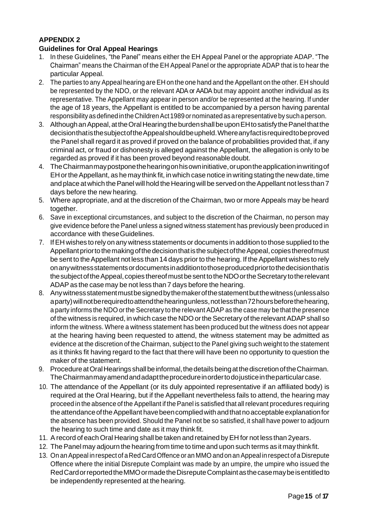# **APPENDIX 2**

## **Guidelines for Oral Appeal Hearings**

- 1. In these Guidelines, "the Panel" means either the EH Appeal Panel or the appropriate ADAP. "The Chairman" means the Chairman of the EH Appeal Panel or the appropriate ADAP that is to hear the particular Appeal.
- 2. The parties to any Appeal hearing are EH on the one hand and the Appellant on the other. EH should be represented by the NDO, or the relevant ADA or AADA but may appoint another individual as its representative. The Appellant may appear in person and/or be represented at the hearing. If under the age of 18 years, the Appellant is entitled to be accompanied by a person having parental responsibility as defined in the Children Act 1989 or nominated as a representative by such a person.
- 3. Although an Appeal, at the Oral Hearing the burden shall be upon EH to satisfy the Panel that the decisionthatisthesubjectoftheAppealshouldbeupheld.Whereanyfactisrequiredtobeproved the Panel shall regard it as proved if proved on the balance of probabilities provided that, if any criminal act, or fraud or dishonesty is alleged against the Appellant, the allegation is only to be regarded as proved if it has been proved beyond reasonable doubt.
- 4. TheChairmanmaypostponethehearingonhisowninitiative,orupontheapplicationinwritingof EH ortheAppellant, as he may think fit, in which case notice inwriting stating the new date, time and place at which the Panel will hold the Hearing will be served on the Appellant not less than 7 days before the new hearing.
- 5. Where appropriate, and at the discretion of the Chairman, two or more Appeals may be heard together.
- 6. Save in exceptional circumstances, and subject to the discretion of the Chairman, no person may give evidence before the Panel unless a signed witness statement has previously been produced in accordance with theseGuidelines.
- 7. IfEH wishes to rely on anywitness statements or documents in addition to those supplied to the Appellant prior to the making of the decision that is the subject of the Appeal, copies thereof must be sent to the Appellant not less than 14 days prior to the hearing. If the Appellant wishes to rely onanywitnessstatementsordocumentsinadditiontothoseproducedpriortothedecisionthatis the subject of the Appeal, copies thereof must be sent to the NDO or the Secretary to the relevant ADAP as the case may be not less than 7 days before the hearing.
- 8. Anywitnessstatementmustbesignedbythemakerofthestatementbutthewitness(unlessalso aparty)willnotberequiredtoattendthehearingunless,notlessthan72hoursbeforethehearing, a party informs the NDO orthe Secretary to the relevant ADAP as the case may be that the presence of the witness is required, in which case the NDO or the Secretary of the relevant ADAP shall so inform the witness. Where a witness statement has been produced but the witness does not appear at the hearing having been requested to attend, the witness statement may be admitted as evidence at the discretion of the Chairman, subject to the Panel giving such weight to the statement as it thinks fit having regard to the fact that there will have been no opportunity to question the maker of the statement.
- 9. Procedure at Oral Hearings shall be informal, the details being at the discretion of the Chairman. TheChairmanmayamendandadapttheprocedureinordertodojusticeintheparticularcase.
- 10. The attendance of the Appellant (or its duly appointed representative if an affiliated body) is required at the Oral Hearing, but if the Appellant nevertheless fails to attend, the hearing may proceed in the absence of the Appellant if the Panel is satisfied that all relevant procedures requiring the attendance of the Appellant have been complied with and that no acceptable explanation for the absence has been provided. Should the Panel not be so satisfied, it shall have power to adjourn the hearing to such time and date as it may think fit.
- 11. A record of each Oral Hearing shall be taken and retained by EH for not less than 2years.
- 12. The Panel may adjourn the hearing from time to time and upon such terms as it may thinkfit.
- 13. On an Appeal in respect of a Red Card Offence or an MMO and on an Appeal in respect of a Disrepute Offence where the initial Disrepute Complaint was made by an umpire, the umpire who issued the RedCardorreportedtheMMOormadetheDisreputeComplaintasthecasemaybeisentitledto be independently represented at the hearing.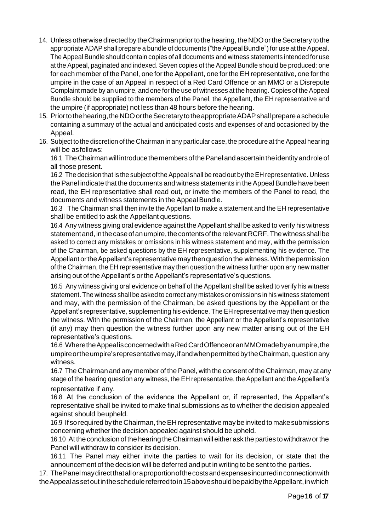- 14. Unless otherwise directed by the Chairman prior to the hearing, the NDO or the Secretary to the appropriate ADAP shall prepare a bundle of documents ("the Appeal Bundle") for use at the Appeal. The Appeal Bundle should contain copies of all documents and witness statements intended for use at the Appeal, paginated and indexed. Seven copies of the Appeal Bundle should be produced: one for each member of the Panel, one for the Appellant, one for the EH representative, one for the umpire in the case of an Appeal in respect of a Red Card Offence or an MMO or a Disrepute Complaint made by an umpire, and one for the use of witnesses at the hearing. Copies of the Appeal Bundle should be supplied to the members of the Panel, the Appellant, the EH representative and the umpire (if appropriate) not less than 48 hours before the hearing.
- 15. Prior to the hearing, the NDO or the Secretary to the appropriate ADAP shall prepare a schedule containing a summary of the actual and anticipated costs and expenses of and occasioned by the Appeal.
- 16. Subject to the discretion of the Chairman in any particular case, the procedure at the Appeal hearing will be asfollows:

16.1 The Chairman will introduce the members of the Panel and ascertain the identity and role of all those present.

16.2 The decision that is the subject of the Appeal shall be read out by the EH representative. Unless the Panel indicate that the documents and witness statements in the Appeal Bundle have been read, the EH representative shall read out, or invite the members of the Panel to read, the documents and witness statements in the Appeal Bundle.

16.3 The Chairman shall then invite the Appellant to make a statement and the EH representative shall be entitled to ask the Appellant questions.

16.4 Any witness giving oral evidence against the Appellant shall be asked to verify his witness statement and, in the case of an umpire, the contents of the relevant RCRF. The witness shall be asked to correct any mistakes or omissions in his witness statement and may, with the permission of the Chairman, be asked questions by the EH representative, supplementing his evidence. The Appellant or the Appellant's representative may then question the witness. With the permission of the Chairman, the EH representative may then question the witness further upon any new matter arising out of the Appellant's or the Appellant's representative's questions.

16.5 Any witness giving oral evidence on behalf of the Appellant shall be asked to verify his witness statement. The witness shall be asked to correct any mistakes or omissions in his witness statement and may, with the permission of the Chairman, be asked questions by the Appellant or the Appellant's representative, supplementing his evidence. The EH representative may then question the witness. With the permission of the Chairman, the Appellant or the Appellant's representative (if any) may then question the witness further upon any new matter arising out of the EH representative's questions.

16.6 WheretheAppealisconcernedwithaRedCardOffenceoranMMOmadebyanumpire,the umpireortheumpire'srepresentativemay,ifandwhenpermittedbytheChairman,questionany witness.

16.7 The Chairman and any member of the Panel, with the consent of the Chairman, may at any stage of the hearing question any witness, the EH representative, the Appellant and the Appellant's representative if any.

16.8 At the conclusion of the evidence the Appellant or, if represented, the Appellant's representative shall be invited to make final submissions as to whether the decision appealed against should beupheld.

16.9 If so required by the Chairman, the EH representative may be invited to make submissions concerning whether the decision appealed against should be upheld.

16.10 At the conclusion of the hearing the Chairman will either ask the parties to withdraw or the Panel will withdraw to consider its decision.

16.11 The Panel may either invite the parties to wait for its decision, or state that the announcement of the decision will be deferred and put in writing to be sent to the parties.

17. ThePanelmaydirectthatalloraproportionofthecostsandexpensesincurredinconnectionwith the Appeal as set out in the schedule referred to in 15 above should be paid by the Appellant, in which